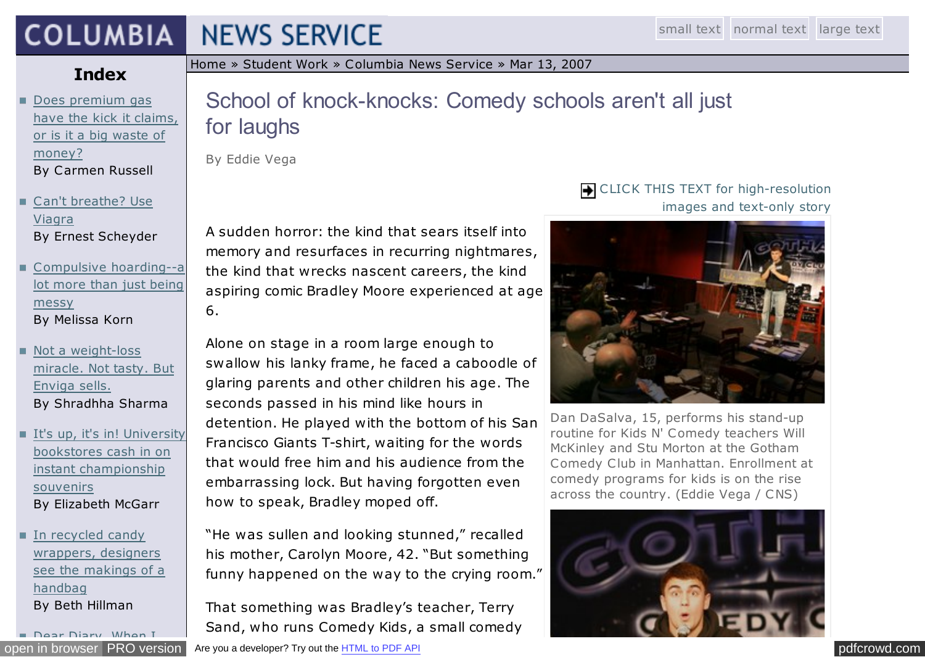### **COLUMBIA NEWS SERVICE**

## **Index**

- Does premium gas [have the kick it claims,](http://jscms.jrn.columbia.edu/cns/2007-03-13/russell-premiumgas.html) or is it a big waste of money? By Carmen Russell
- [Can't breathe? Use](http://jscms.jrn.columbia.edu/cns/2007-03-13/scheyder-viagraheights.html) Viagra By Ernest Scheyder
- [Compulsive hoarding--a](http://jscms.jrn.columbia.edu/cns/2007-03-13/korn-youthinkyouremessy.html) lot more than just being messy By Melissa Korn
- Not a weight-loss [miracle. Not tasty. But](http://jscms.jrn.columbia.edu/cns/2007-03-13/sharma-envigadrink.html) Enviga sells. By Shradhha Sharma
- [It's up, it's in! University](http://jscms.jrn.columbia.edu/cns/2007-03-13/mcgarr-everythingcollegiate.html) bookstores cash in on instant championship souvenirs By Elizabeth McGarr
- In recycled candy wrappers, designers [see the makings of a](http://jscms.jrn.columbia.edu/cns/2007-03-13/hillman-recycledhandbags.html) handbag By Beth Hillman

[Dear Diary, When I](http://jscms.jrn.columbia.edu/cns/2007-03-13/rauhala-publicdiaryreadings.html)

[Home](http://www.jrn.columbia.edu/) » [Student Work](http://www.jrn.columbia.edu/studentwork/) » [Columbia News Service](http://jscms.jrn.columbia.edu/cns/2009-04-28.html) » [Mar 13, 2007](http://jscms.jrn.columbia.edu/cns/2007-03-13.html)

# School of knock-knocks: Comedy schools aren't all just for laughs

By Eddie Vega

A sudden horror: the kind that sears itself into memory and resurfaces in recurring nightmares, the kind that wrecks nascent careers, the kind aspiring comic Bradley Moore experienced at age 6.

Alone on stage in a room large enough to swallow his lanky frame, he faced a caboodle of glaring parents and other children his age. The seconds passed in his mind like hours in detention. He played with the bottom of his San Francisco Giants T-shirt, waiting for the words that would free him and his audience from the embarrassing lock. But having forgotten even how to speak, Bradley moped off.

"He was sullen and looking stunned," recalled his mother, Carolyn Moore, 42. "But something funny happened on the way to the crying room."

That something was Bradley's teacher, Terry Sand, who runs Comedy Kids, a small comedy

#### [open in browser](http://pdfcrowd.com/redirect/?url=http%3a%2f%2fjscms.jrn.columbia.edu%2fcns%2f2007-03-13%2fvega-kidscomedyschool.html&id=ma-140213143200-a9fa40a1) [PRO version](http://pdfcrowd.com/customize/) Are you a developer? Try out th[e HTML to PDF API](http://pdfcrowd.com/html-to-pdf-api/?ref=pdf) produce the Material policy of the Materia of the Materia of the HTML to PDF API policy of the Materia of the Materia of the Materia of the Mater

### **THE CLICK THIS TEXT for high-resolution** images and text-only story



Dan DaSalva, 15, performs his stand-up routine for Kids N' Comedy teachers Will McKinley and Stu Morton at the Gotham Comedy Club in Manhattan. Enrollment at comedy programs for kids is on the rise across the country. (Eddie Vega / CNS)

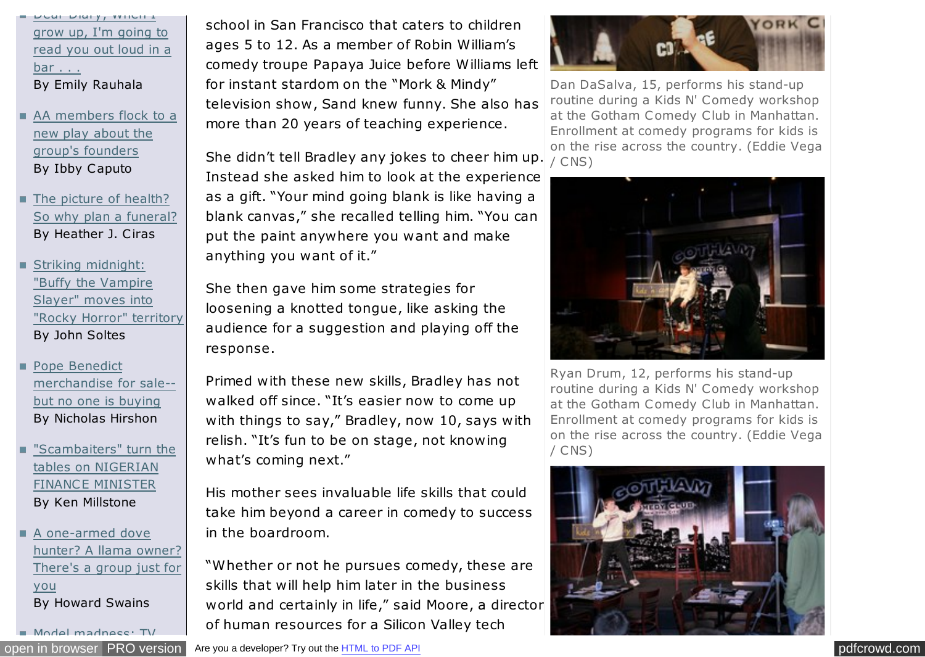Dear Diary, When I grow up, I'm going to [read you out loud in a](http://jscms.jrn.columbia.edu/cns/2007-03-13/rauhala-publicdiaryreadings.html) bar . . . By Emily Rauhala

[AA members flock to a](http://jscms.jrn.columbia.edu/cns/2007-03-13/caputo-offbroadwayalcoholics.html) new play about the group's founders By Ibby Caputo

The picture of health? [So why plan a funeral?](http://jscms.jrn.columbia.edu/cns/2007-03-13/ciras-DIYfunerals.html) By Heather J. Ciras

Striking midnight: "Buffy the Vampire Slayer" moves into ["Rocky Horror" territory](http://jscms.jrn.columbia.edu/cns/2007-03-13/soltes-midnightmovies.html) By John Soltes

Pope Benedict [merchandise for sale-](http://jscms.jrn.columbia.edu/cns/2007-03-13/hirshon-popemerchandise.html) but no one is buying By Nicholas Hirshon

["Scambaiters" turn the](http://jscms.jrn.columbia.edu/cns/2007-03-13/millstone-scamming-the-scammers.html) tables on NIGERIAN FINANCE MINISTER By Ken Millstone

A one-armed dove [hunter? A llama owner?](http://jscms.jrn.columbia.edu/cns/2007-03-13/swains-associationsforeverything.html) There's a group just for you By Howard Swains

[Model madness: TV](http://jscms.jrn.columbia.edu/cns/2007-03-13/meierdierkslehman-modelrealityshows.html)

school in San Francisco that caters to children ages 5 to 12. As a member of Robin William's comedy troupe Papaya Juice before Williams left for instant stardom on the "Mork & Mindy" television show , Sand knew funny. She also has more than 20 years of teaching experience.

She didn't tell Bradley any jokes to cheer him up. Instead she asked him to look at the experience as a gift. "Your mind going blank is like having a blank canvas," she recalled telling him. "You can put the paint anywhere you want and make anything you want of it."

She then gave him some strategies for loosening a knotted tongue, like asking the audience for a suggestion and playing off the response.

Primed with these new skills, Bradley has not walked off since. "It's easier now to come up with things to say," Bradley, now 10, says with relish. "It's fun to be on stage, not knowing what's coming next."

His mother sees invaluable life skills that could take him beyond a career in comedy to success in the boardroom.

"Whether or not he pursues comedy, these are skills that will help him later in the business world and certainly in life," said Moore, a director of human resources for a Silicon Valley tech



Dan DaSalva, 15, performs his stand-up routine during a Kids N' Comedy workshop at the Gotham Comedy Club in Manhattan. Enrollment at comedy programs for kids is on the rise across the country. (Eddie Vega / CNS)



Ryan Drum, 12, performs his stand-up routine during a Kids N' Comedy workshop at the Gotham Comedy Club in Manhattan. Enrollment at comedy programs for kids is on the rise across the country. (Eddie Vega / CNS)

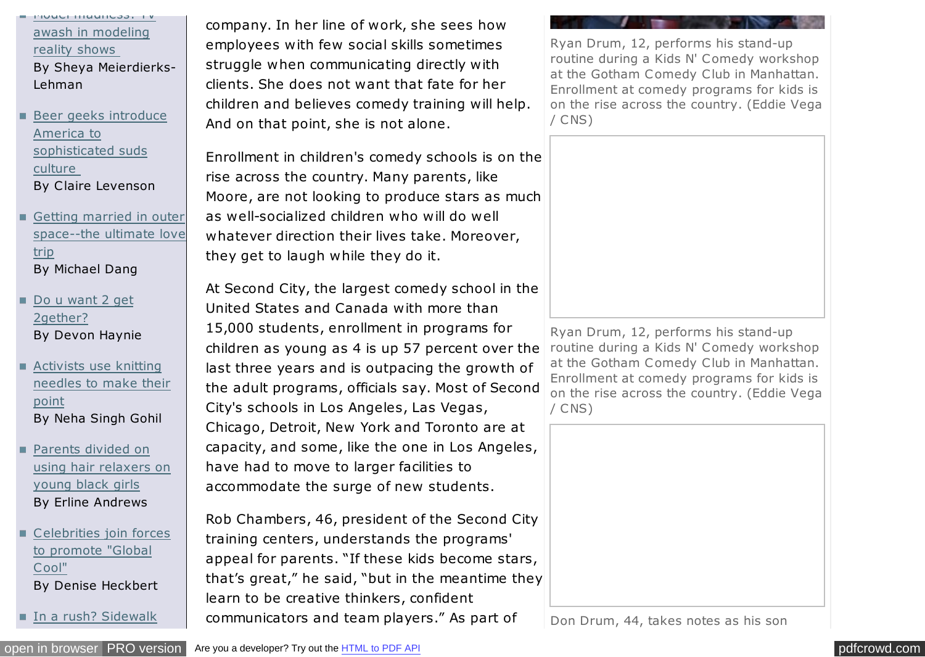[Model madness: TV](http://jscms.jrn.columbia.edu/cns/2007-03-13/meierdierkslehman-modelrealityshows.html) awash in modeling reality shows By Sheya Meierdierks-Lehman

- [Beer geeks introduce](http://jscms.jrn.columbia.edu/cns/2007-03-13/levenson-beergeeks.html) America to sophisticated suds culture By Claire Levenson
- Getting married in outer [space--the ultimate love](http://jscms.jrn.columbia.edu/cns/2007-03-13/dang-loveinouterspace.html) trip By Michael Dang
- [Do u want 2 get](http://jscms.jrn.columbia.edu/cns/2007-03-13/haynie-textmessagedating.html) 2gether? By Devon Haynie
- Activists use knitting [needles to make their](http://jscms.jrn.columbia.edu/cns/2007-03-13/gohil-knittinginprotest.html) point By Neha Singh Gohil
- Parents divided on [using hair relaxers on](http://jscms.jrn.columbia.edu/cns/2007-03-13/andrews-blackkiddiehaircare.html) young black girls By Erline Andrews
- [C elebrities join forces](http://jscms.jrn.columbia.edu/cns/2007-03-13/heckbert-celebritiessaveearth.html) to promote "Global Cool" By Denise Heckbert
- **In a rush? Sidewalk**

company. In her line of work, she sees how employees with few social skills sometimes struggle when communicating directly with clients. She does not want that fate for her children and believes comedy training will help. And on that point, she is not alone.

Enrollment in children's comedy schools is on the rise across the country. Many parents, like Moore, are not looking to produce stars as much as well-socialized children who will do well whatever direction their lives take. Moreover, they get to laugh while they do it.

At Second City, the largest comedy school in the United States and Canada with more than 15,000 students, enrollment in programs for children as young as 4 is up 57 percent over the last three years and is outpacing the growth of the adult programs, officials say. Most of Second City's schools in Los Angeles, Las Vegas, Chicago, Detroit, New York and Toronto are at capacity, and some, like the one in Los Angeles, have had to move to larger facilities to accommodate the surge of new students.

Rob Chambers, 46, president of the Second City training centers, understands the programs' appeal for parents. "If these kids become stars, that's great," he said, "but in the meantime they learn to be creative thinkers, confident communicators and team players." As part of

Ryan Drum, 12, performs his stand-up routine during a Kids N' Comedy workshop at the Gotham Comedy Club in Manhattan. Enrollment at comedy programs for kids is on the rise across the country. (Eddie Vega / CNS)



Ryan Drum, 12, performs his stand-up routine during a Kids N' Comedy workshop at the Gotham Comedy Club in Manhattan. Enrollment at comedy programs for kids is on the rise across the country. (Eddie Vega / CNS)



Don Drum, 44, takes notes as his son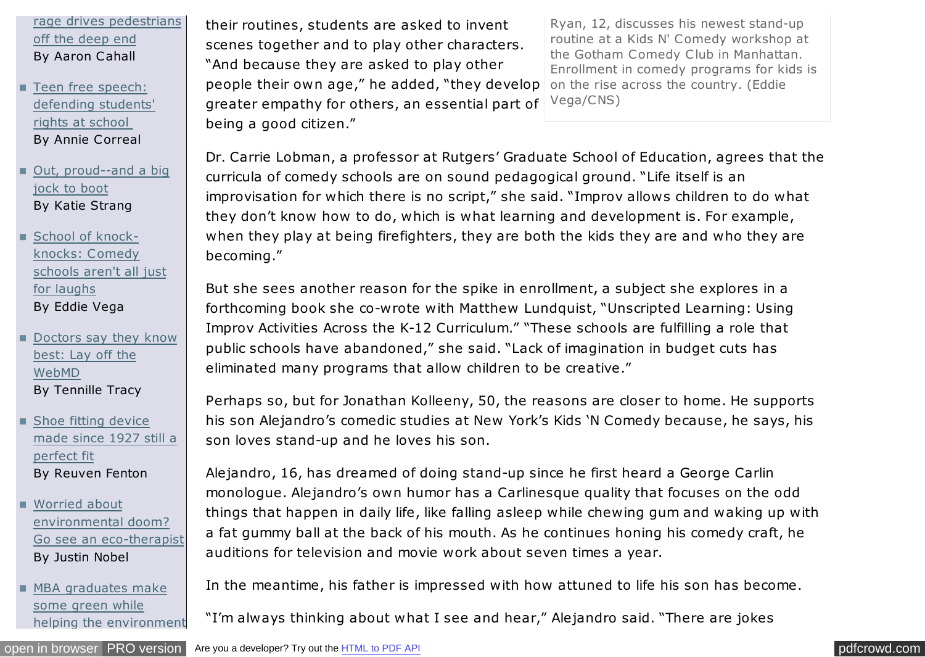[rage drives pedestrians](http://jscms.jrn.columbia.edu/cns/2007-03-13/cahall-sidewalkrage.html) off the deep end By Aaron Cahall

■ Teen free speech: [defending students'](http://jscms.jrn.columbia.edu/cns/2007-03-13/correal-teenfreespeech.html) rights at school By Annie Correal

■ [Out, proud--and a big](http://jscms.jrn.columbia.edu/cns/2007-03-13/strang-gaysports.html) jock to boot By Katie Strang

School of knockknocks: Comedy [schools aren't all just](http://jscms.jrn.columbia.edu/cns/2007-03-13/vega-kidscomedyschool.html) for laughs By Eddie Vega

[Doctors say they know](http://jscms.jrn.columbia.edu/cns/2007-03-13/tracy-medicalparanoia.html) best: Lay off the WebMD By Tennille Tracy

Shoe fitting device [made since 1927 still a](http://jscms.jrn.columbia.edu/cns/2007-03-13/fenton-brannockdevice.html) perfect fit By Reuven Fenton

Worried about environmental doom? [Go see an eco-therapist](http://jscms.jrn.columbia.edu/cns/2007-03-13/nobel-ecoanxiety.html) By Justin Nobel

MBA graduates make some green while [helping the environment](http://jscms.jrn.columbia.edu/cns/2007-03-13/fusaro-greenmbas.html) their routines, students are asked to invent scenes together and to play other characters. "And because they are asked to play other people their own age," he added, "they develop greater empathy for others, an essential part of being a good citizen."

Ryan, 12, discusses his newest stand-up routine at a Kids N' Comedy workshop at the Gotham Comedy Club in Manhattan. Enrollment in comedy programs for kids is on the rise across the country. (Eddie Vega/CNS)

Dr. Carrie Lobman, a professor at Rutgers' Graduate School of Education, agrees that the curricula of comedy schools are on sound pedagogical ground. "Life itself is an improvisation for which there is no script," she said. "Improv allows children to do what they don't know how to do, which is what learning and development is. For example, when they play at being firefighters, they are both the kids they are and who they are becoming."

But she sees another reason for the spike in enrollment, a subject she explores in a forthcoming book she co-wrote with Matthew Lundquist, "Unscripted Learning: Using Improv Activities Across the K-12 Curriculum." "These schools are fulfilling a role that public schools have abandoned," she said. "Lack of imagination in budget cuts has eliminated many programs that allow children to be creative."

Perhaps so, but for Jonathan Kolleeny, 50, the reasons are closer to home. He supports his son Alejandro's comedic studies at New York's Kids 'N Comedy because, he says, his son loves stand-up and he loves his son.

Alejandro, 16, has dreamed of doing stand-up since he first heard a George Carlin monologue. Alejandro's own humor has a Carlinesque quality that focuses on the odd things that happen in daily life, like falling asleep while chewing gum and waking up with a fat gummy ball at the back of his mouth. As he continues honing his comedy craft, he auditions for television and movie work about seven times a year.

In the meantime, his father is impressed with how attuned to life his son has become.

"I'm always thinking about what I see and hear," Alejandro said. "There are jokes